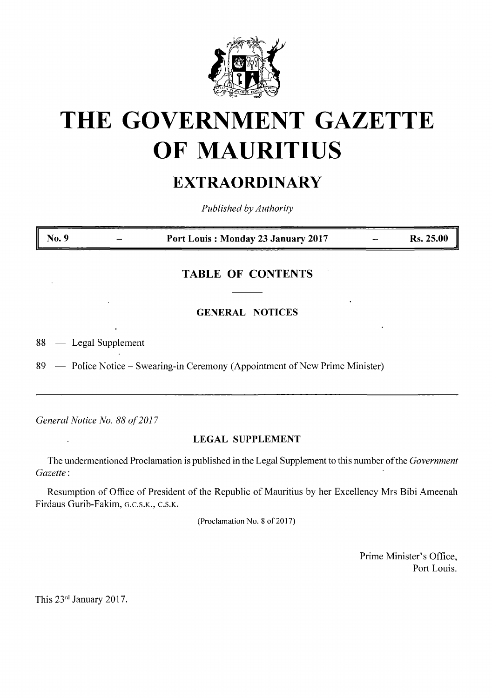

# **THE GOVERNMENT GAZETTE OF MAURITIUS**

## **EXTRAORDINARY**

*Published by Authority*

**No. 9 Port Louis : Monday 23 January 2017 Rs. 25.00**

### **TABLE OF CONTENTS**

**GENERAL NOTICES**

88 — Legal Supplement

89 — Police Notice – Swearing-in Ceremony (Appointment of New Prime Minister)

*General Notice No. 88 of2017*

#### **LEGAL SUPPLEMENT**

The undermentioned Proclamation is published in the Legal Supplement to this number ofthe *Government Gazette :*

Resumption of Office of President of the Republic of Mauritius by her Excellency Mrs Bibi Ameenah Firdaus Gurib-Fakim, g.c.s.k., c.s.k.

(Proclamation No. 8 of 2017)

Prime Minister's Office, Port Louis.

This 23rd January 2017.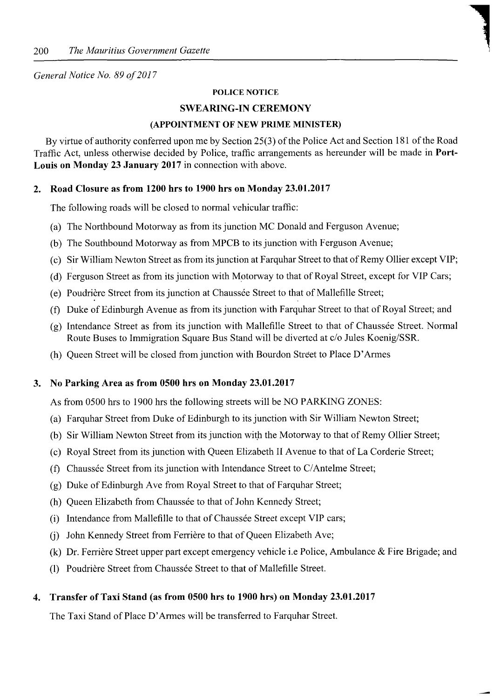#### *General Notice No. 89 of2017*

#### **POLICE NOTICE**

#### **SWEARING-IN CEREMONY**

#### **(APPOINTMENT OF NEW PRIME MINISTER)**

By virtue of authority conferred upon me by Section 25(3) of the Police Act and Section 181 of the Road Traffic Act, unless otherwise decided by Police, traffic arrangements as hereunder will be made in **Port-Louis on Monday 23 January 2017** in connection with above.

#### **2. Road Closure as from 1200 hrs to 1900 hrs on Monday 23.01.2017**

The following roads will be closed to normal vehicular traffic:

- (a) The Northbound Motorway as from its junction MC Donald and Ferguson Avenue;
- (b) The Southbound Motorway as from MPCB to itsjunction with Ferguson Avenue;
- (c) Sir William Newton Street as from its junction at Farquhar Street to that of Remy Ollier except VIP;
- (d) Ferguson Street as from its junction with Motorway to that of Royal Street, except for VIP Cars;
- (e) Poudrière Street from its junction at Chaussée Street to that of Mallefille Street;
- (f) Duke of Edinburgh Avenue as from its junction with Farquhar Street to that of Royal Street; and
- (g) Intendance Street as from its junction with Mallefille Street to that of Chaussée Street. Normal Route Buses to Immigration Square Bus Stand will be diverted at c/o Jules Koenig/SSR.
- (h) Queen Street will be closed from junction with Bourdon Street to Place D'Armes

#### **3. No Parking Area as from 0500 hrs on Monday 23.01.2017**

As from 0500 hrs to 1900 hrs the following streets will be NO PARKING ZONES:

- (a) Farquhar Street from Duke of Edinburgh to its junction with Sir William Newton Street;
- (b) Sir William Newton Street from its junction with the Motorway to that of Remy Ollier Street;
- (c) Royal Street from itsjunction with Queen Elizabeth II Avenue to that of La Corderie Street;
- (f) Chaussee Street from itsjunction with Intendance Street to C/Antelme Street;
- (g) Duke of Edinburgh Ave from Royal Street to that of Farquhar Street;
- (h) Queen Elizabeth from Chaussée to that of John Kennedy Street;
- (i) Intendance from Mallefille to that of Chaussée Street except VIP cars;
- (i) John Kennedy Street from Ferrière to that of Queen Elizabeth Ave;
- (k) Dr. Ferrière Street upper part except emergency vehicle i.e Police, Ambulance & Fire Brigade; and
- (1) Poudrière Street from Chaussée Street to that of Mallefille Street.

#### **4. Transfer of Taxi Stand (as from 0500 hrs to 1900 hrs) on Monday 23.01.2017**

The Taxi Stand of Place D'Armes will be transferred to Farquhar Street.